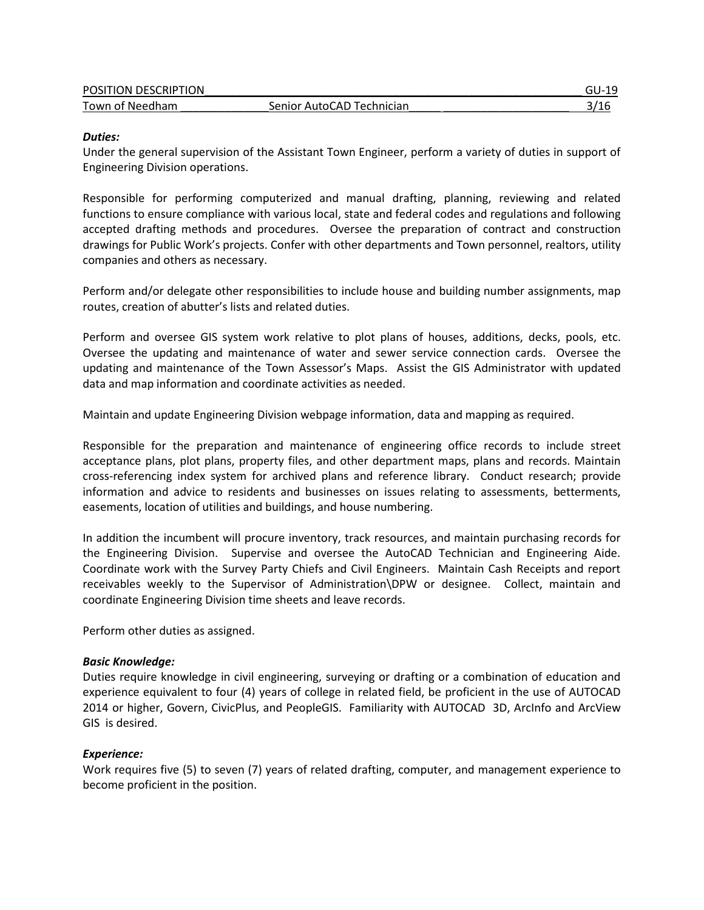| POSITION DESCRIPTION |                           |  |
|----------------------|---------------------------|--|
| Town of Needham      | Senior AutoCAD Technician |  |

### *Duties:*

Under the general supervision of the Assistant Town Engineer, perform a variety of duties in support of Engineering Division operations.

Responsible for performing computerized and manual drafting, planning, reviewing and related functions to ensure compliance with various local, state and federal codes and regulations and following accepted drafting methods and procedures. Oversee the preparation of contract and construction drawings for Public Work's projects. Confer with other departments and Town personnel, realtors, utility companies and others as necessary.

Perform and/or delegate other responsibilities to include house and building number assignments, map routes, creation of abutter's lists and related duties.

Perform and oversee GIS system work relative to plot plans of houses, additions, decks, pools, etc. Oversee the updating and maintenance of water and sewer service connection cards. Oversee the updating and maintenance of the Town Assessor's Maps. Assist the GIS Administrator with updated data and map information and coordinate activities as needed.

Maintain and update Engineering Division webpage information, data and mapping as required.

Responsible for the preparation and maintenance of engineering office records to include street acceptance plans, plot plans, property files, and other department maps, plans and records. Maintain cross-referencing index system for archived plans and reference library. Conduct research; provide information and advice to residents and businesses on issues relating to assessments, betterments, easements, location of utilities and buildings, and house numbering.

In addition the incumbent will procure inventory, track resources, and maintain purchasing records for the Engineering Division. Supervise and oversee the AutoCAD Technician and Engineering Aide. Coordinate work with the Survey Party Chiefs and Civil Engineers. Maintain Cash Receipts and report receivables weekly to the Supervisor of Administration\DPW or designee. Collect, maintain and coordinate Engineering Division time sheets and leave records.

Perform other duties as assigned.

## *Basic Knowledge:*

Duties require knowledge in civil engineering, surveying or drafting or a combination of education and experience equivalent to four (4) years of college in related field, be proficient in the use of AUTOCAD 2014 or higher, Govern, CivicPlus, and PeopleGIS. Familiarity with AUTOCAD 3D, ArcInfo and ArcView GIS is desired.

## *Experience:*

Work requires five (5) to seven (7) years of related drafting, computer, and management experience to become proficient in the position.